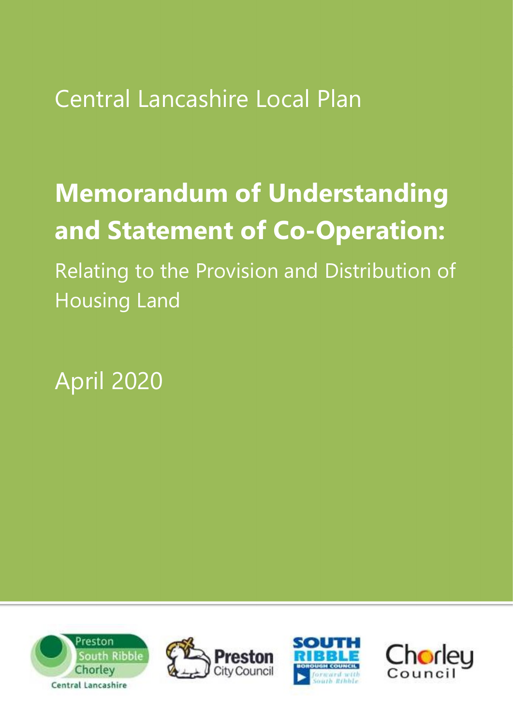Central Lancashire Local Plan

# Memorandum of Understanding and Statement of Co-Operation:

Relating to the Provision and Distribution of Housing Land

April 2020







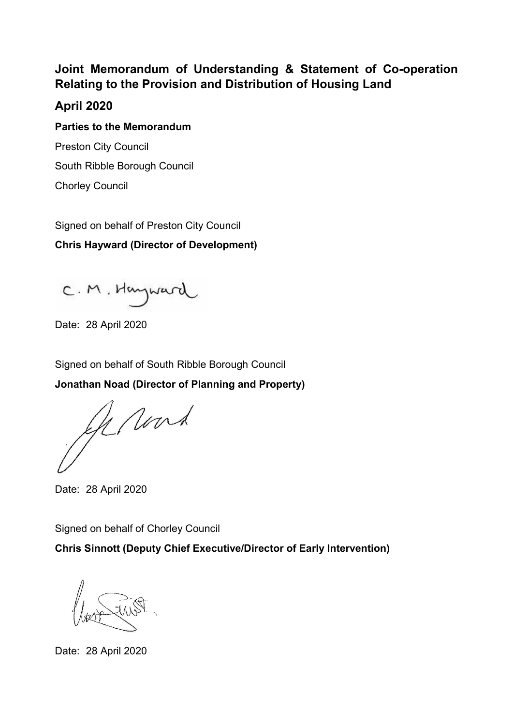# Joint Memorandum of Understanding & Statement of Co-operation Relating to the Provision and Distribution of Housing Land

# April 2020

Parties to the Memorandum Preston City Council South Ribble Borough Council Chorley Council

Signed on behalf of Preston City Council

Chris Hayward (Director of Development)

C.M. Hayward

Date: 28 April 2020

Signed on behalf of South Ribble Borough Council

Jonathan Noad (Director of Planning and Property)

Gerard

Date: 28 April 2020

Signed on behalf of Chorley Council

Chris Sinnott (Deputy Chief Executive/Director of Early Intervention)

Date: 28 April 2020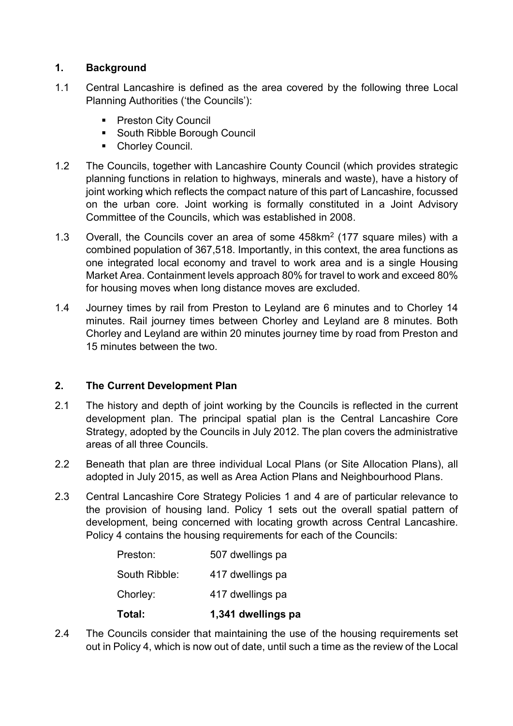# 1. Background

- 1.1 Central Lancashire is defined as the area covered by the following three Local Planning Authorities ('the Councils'):
	- **Preston City Council**
	- **South Ribble Borough Council**
	- **Chorley Council.**
- 1.2 The Councils, together with Lancashire County Council (which provides strategic planning functions in relation to highways, minerals and waste), have a history of joint working which reflects the compact nature of this part of Lancashire, focussed on the urban core. Joint working is formally constituted in a Joint Advisory Committee of the Councils, which was established in 2008.
- 1.3 Overall, the Councils cover an area of some 458km<sup>2</sup> (177 square miles) with a combined population of 367,518. Importantly, in this context, the area functions as one integrated local economy and travel to work area and is a single Housing Market Area. Containment levels approach 80% for travel to work and exceed 80% for housing moves when long distance moves are excluded.
- 1.4 Journey times by rail from Preston to Leyland are 6 minutes and to Chorley 14 minutes. Rail journey times between Chorley and Leyland are 8 minutes. Both Chorley and Leyland are within 20 minutes journey time by road from Preston and 15 minutes between the two.

## 2. The Current Development Plan

- 2.1 The history and depth of joint working by the Councils is reflected in the current development plan. The principal spatial plan is the Central Lancashire Core Strategy, adopted by the Councils in July 2012. The plan covers the administrative areas of all three Councils.
- 2.2 Beneath that plan are three individual Local Plans (or Site Allocation Plans), all adopted in July 2015, as well as Area Action Plans and Neighbourhood Plans.
- 2.3 Central Lancashire Core Strategy Policies 1 and 4 are of particular relevance to the provision of housing land. Policy 1 sets out the overall spatial pattern of development, being concerned with locating growth across Central Lancashire. Policy 4 contains the housing requirements for each of the Councils:

| Total:        | 1,341 dwellings pa |
|---------------|--------------------|
| Chorley:      | 417 dwellings pa   |
| South Ribble: | 417 dwellings pa   |
| Preston:      | 507 dwellings pa   |

2.4 The Councils consider that maintaining the use of the housing requirements set out in Policy 4, which is now out of date, until such a time as the review of the Local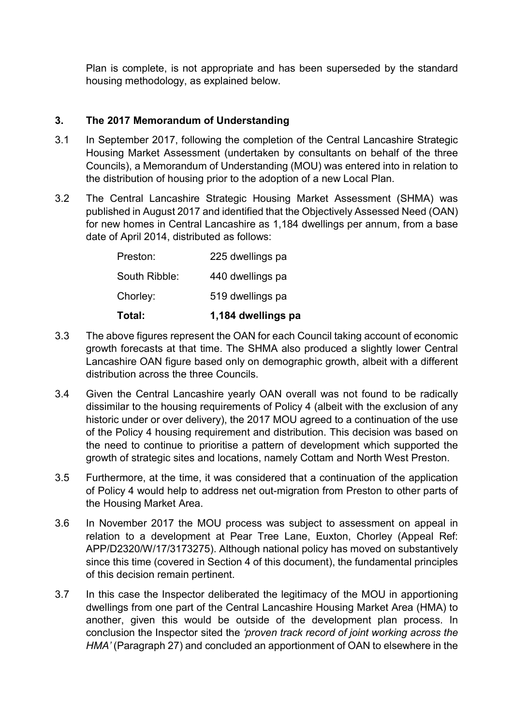Plan is complete, is not appropriate and has been superseded by the standard housing methodology, as explained below.

## 3. The 2017 Memorandum of Understanding

- 3.1 In September 2017, following the completion of the Central Lancashire Strategic Housing Market Assessment (undertaken by consultants on behalf of the three Councils), a Memorandum of Understanding (MOU) was entered into in relation to the distribution of housing prior to the adoption of a new Local Plan.
- 3.2 The Central Lancashire Strategic Housing Market Assessment (SHMA) was published in August 2017 and identified that the Objectively Assessed Need (OAN) for new homes in Central Lancashire as 1,184 dwellings per annum, from a base date of April 2014, distributed as follows:

| Total:        | 1,184 dwellings pa |
|---------------|--------------------|
| Chorley:      | 519 dwellings pa   |
| South Ribble: | 440 dwellings pa   |
| Preston:      | 225 dwellings pa   |

- 3.3 The above figures represent the OAN for each Council taking account of economic growth forecasts at that time. The SHMA also produced a slightly lower Central Lancashire OAN figure based only on demographic growth, albeit with a different distribution across the three Councils.
- 3.4 Given the Central Lancashire yearly OAN overall was not found to be radically dissimilar to the housing requirements of Policy 4 (albeit with the exclusion of any historic under or over delivery), the 2017 MOU agreed to a continuation of the use of the Policy 4 housing requirement and distribution. This decision was based on the need to continue to prioritise a pattern of development which supported the growth of strategic sites and locations, namely Cottam and North West Preston.
- 3.5 Furthermore, at the time, it was considered that a continuation of the application of Policy 4 would help to address net out-migration from Preston to other parts of the Housing Market Area.
- 3.6 In November 2017 the MOU process was subject to assessment on appeal in relation to a development at Pear Tree Lane, Euxton, Chorley (Appeal Ref: APP/D2320/W/17/3173275). Although national policy has moved on substantively since this time (covered in Section 4 of this document), the fundamental principles of this decision remain pertinent.
- 3.7 In this case the Inspector deliberated the legitimacy of the MOU in apportioning dwellings from one part of the Central Lancashire Housing Market Area (HMA) to another, given this would be outside of the development plan process. In conclusion the Inspector sited the 'proven track record of joint working across the HMA' (Paragraph 27) and concluded an apportionment of OAN to elsewhere in the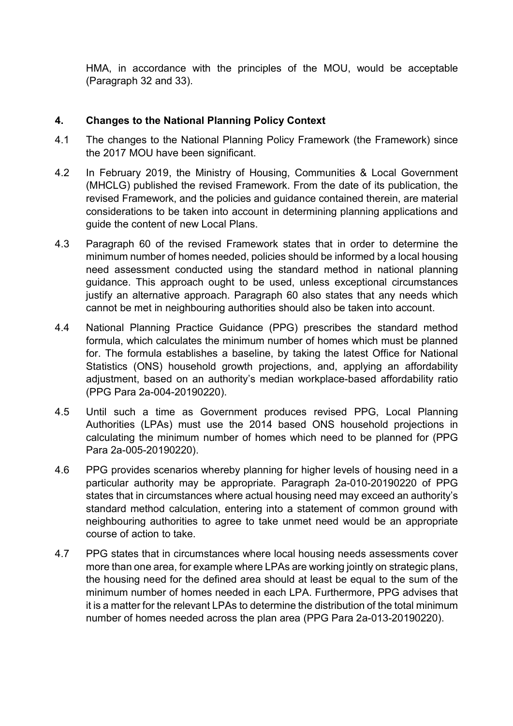HMA, in accordance with the principles of the MOU, would be acceptable (Paragraph 32 and 33).

# 4. Changes to the National Planning Policy Context

- 4.1 The changes to the National Planning Policy Framework (the Framework) since the 2017 MOU have been significant.
- 4.2 In February 2019, the Ministry of Housing, Communities & Local Government (MHCLG) published the revised Framework. From the date of its publication, the revised Framework, and the policies and guidance contained therein, are material considerations to be taken into account in determining planning applications and guide the content of new Local Plans.
- 4.3 Paragraph 60 of the revised Framework states that in order to determine the minimum number of homes needed, policies should be informed by a local housing need assessment conducted using the standard method in national planning guidance. This approach ought to be used, unless exceptional circumstances justify an alternative approach. Paragraph 60 also states that any needs which cannot be met in neighbouring authorities should also be taken into account.
- 4.4 National Planning Practice Guidance (PPG) prescribes the standard method formula, which calculates the minimum number of homes which must be planned for. The formula establishes a baseline, by taking the latest Office for National Statistics (ONS) household growth projections, and, applying an affordability adjustment, based on an authority's median workplace-based affordability ratio (PPG Para 2a-004-20190220).
- 4.5 Until such a time as Government produces revised PPG, Local Planning Authorities (LPAs) must use the 2014 based ONS household projections in calculating the minimum number of homes which need to be planned for (PPG Para 2a-005-20190220).
- 4.6 PPG provides scenarios whereby planning for higher levels of housing need in a particular authority may be appropriate. Paragraph 2a-010-20190220 of PPG states that in circumstances where actual housing need may exceed an authority's standard method calculation, entering into a statement of common ground with neighbouring authorities to agree to take unmet need would be an appropriate course of action to take.
- 4.7 PPG states that in circumstances where local housing needs assessments cover more than one area, for example where LPAs are working jointly on strategic plans, the housing need for the defined area should at least be equal to the sum of the minimum number of homes needed in each LPA. Furthermore, PPG advises that it is a matter for the relevant LPAs to determine the distribution of the total minimum number of homes needed across the plan area (PPG Para 2a-013-20190220).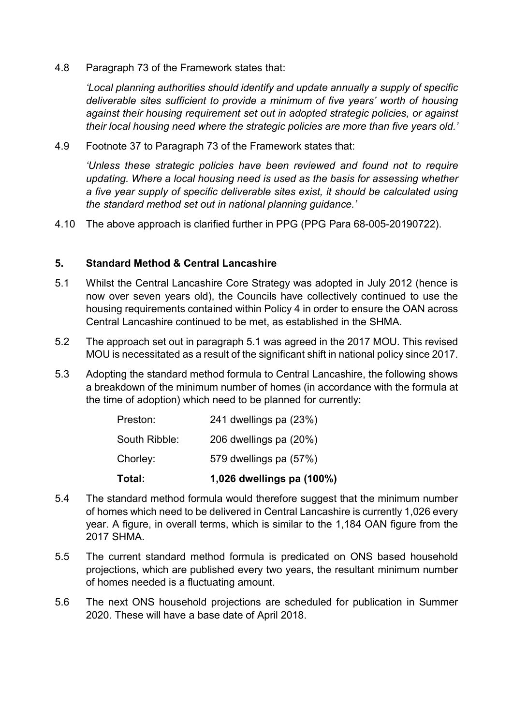4.8 Paragraph 73 of the Framework states that:

'Local planning authorities should identify and update annually a supply of specific deliverable sites sufficient to provide a minimum of five years' worth of housing against their housing requirement set out in adopted strategic policies, or against their local housing need where the strategic policies are more than five years old.'

4.9 Footnote 37 to Paragraph 73 of the Framework states that:

'Unless these strategic policies have been reviewed and found not to require updating. Where a local housing need is used as the basis for assessing whether a five year supply of specific deliverable sites exist, it should be calculated using the standard method set out in national planning guidance.'

4.10 The above approach is clarified further in PPG (PPG Para 68-005-20190722).

#### 5. Standard Method & Central Lancashire

- 5.1 Whilst the Central Lancashire Core Strategy was adopted in July 2012 (hence is now over seven years old), the Councils have collectively continued to use the housing requirements contained within Policy 4 in order to ensure the OAN across Central Lancashire continued to be met, as established in the SHMA.
- 5.2 The approach set out in paragraph 5.1 was agreed in the 2017 MOU. This revised MOU is necessitated as a result of the significant shift in national policy since 2017.
- 5.3 Adopting the standard method formula to Central Lancashire, the following shows a breakdown of the minimum number of homes (in accordance with the formula at the time of adoption) which need to be planned for currently:

| Total:        | 1,026 dwellings pa (100%) |
|---------------|---------------------------|
| Chorley:      | 579 dwellings pa (57%)    |
| South Ribble: | 206 dwellings pa (20%)    |
| Preston:      | 241 dwellings pa (23%)    |

- 5.4 The standard method formula would therefore suggest that the minimum number of homes which need to be delivered in Central Lancashire is currently 1,026 every year. A figure, in overall terms, which is similar to the 1,184 OAN figure from the 2017 SHMA.
- 5.5 The current standard method formula is predicated on ONS based household projections, which are published every two years, the resultant minimum number of homes needed is a fluctuating amount.
- 5.6 The next ONS household projections are scheduled for publication in Summer 2020. These will have a base date of April 2018.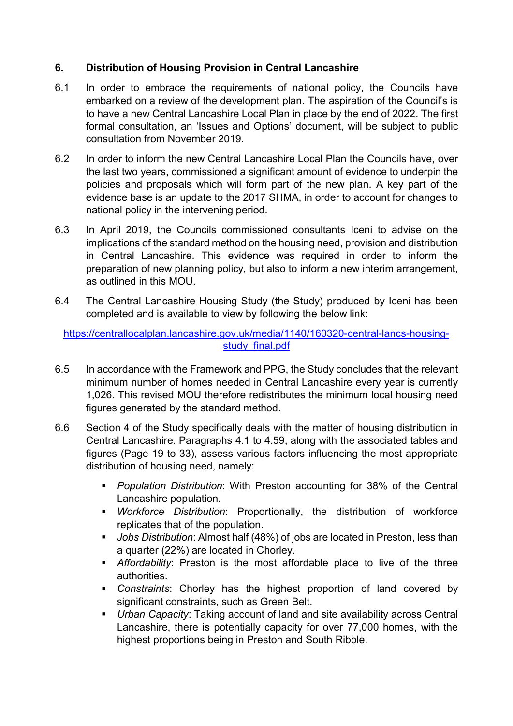# 6. Distribution of Housing Provision in Central Lancashire

- 6.1 In order to embrace the requirements of national policy, the Councils have embarked on a review of the development plan. The aspiration of the Council's is to have a new Central Lancashire Local Plan in place by the end of 2022. The first formal consultation, an 'Issues and Options' document, will be subject to public consultation from November 2019.
- 6.2 In order to inform the new Central Lancashire Local Plan the Councils have, over the last two years, commissioned a significant amount of evidence to underpin the policies and proposals which will form part of the new plan. A key part of the evidence base is an update to the 2017 SHMA, in order to account for changes to national policy in the intervening period.
- 6.3 In April 2019, the Councils commissioned consultants Iceni to advise on the implications of the standard method on the housing need, provision and distribution in Central Lancashire. This evidence was required in order to inform the preparation of new planning policy, but also to inform a new interim arrangement, as outlined in this MOU.
- 6.4 The Central Lancashire Housing Study (the Study) produced by Iceni has been completed and is available to view by following the below link:

https://centrallocalplan.lancashire.gov.uk/media/1140/160320-central-lancs-housingstudy final.pdf

- 6.5 In accordance with the Framework and PPG, the Study concludes that the relevant minimum number of homes needed in Central Lancashire every year is currently 1,026. This revised MOU therefore redistributes the minimum local housing need figures generated by the standard method.
- 6.6 Section 4 of the Study specifically deals with the matter of housing distribution in Central Lancashire. Paragraphs 4.1 to 4.59, along with the associated tables and figures (Page 19 to 33), assess various factors influencing the most appropriate distribution of housing need, namely:
	- **Population Distribution: With Preston accounting for 38% of the Central** Lancashire population.
	- **•** Workforce Distribution: Proportionally, the distribution of workforce replicates that of the population.
	- **Jobs Distribution:** Almost half (48%) of jobs are located in Preston, less than a quarter (22%) are located in Chorley.
	- Affordability: Preston is the most affordable place to live of the three authorities.
	- Constraints: Chorley has the highest proportion of land covered by significant constraints, such as Green Belt.
	- Urban Capacity: Taking account of land and site availability across Central Lancashire, there is potentially capacity for over 77,000 homes, with the highest proportions being in Preston and South Ribble.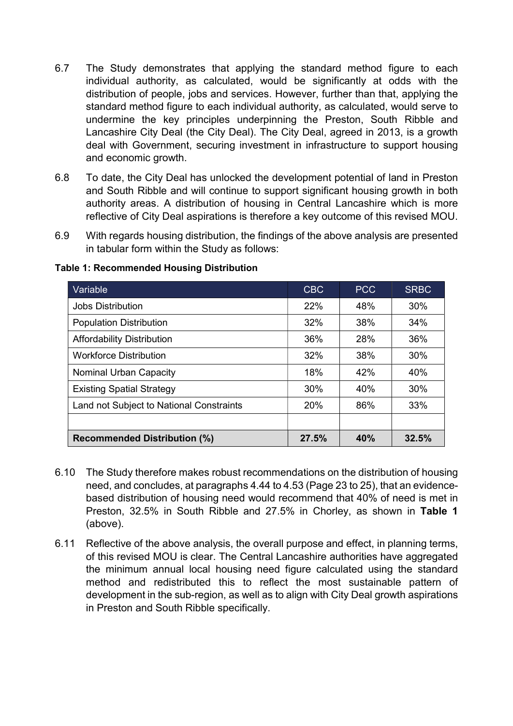- 6.7 The Study demonstrates that applying the standard method figure to each individual authority, as calculated, would be significantly at odds with the distribution of people, jobs and services. However, further than that, applying the standard method figure to each individual authority, as calculated, would serve to undermine the key principles underpinning the Preston, South Ribble and Lancashire City Deal (the City Deal). The City Deal, agreed in 2013, is a growth deal with Government, securing investment in infrastructure to support housing and economic growth.
- 6.8 To date, the City Deal has unlocked the development potential of land in Preston and South Ribble and will continue to support significant housing growth in both authority areas. A distribution of housing in Central Lancashire which is more reflective of City Deal aspirations is therefore a key outcome of this revised MOU.
- 6.9 With regards housing distribution, the findings of the above analysis are presented in tabular form within the Study as follows:

| Variable                                 | <b>CBC</b> | <b>PCC</b> | <b>SRBC</b> |
|------------------------------------------|------------|------------|-------------|
| Jobs Distribution                        | 22%        | 48%        | 30%         |
| <b>Population Distribution</b>           | 32%        | 38%        | 34%         |
| <b>Affordability Distribution</b>        | 36%        | 28%        | 36%         |
| <b>Workforce Distribution</b>            | 32%        | 38%        | 30%         |
| <b>Nominal Urban Capacity</b>            | 18%        | 42%        | 40%         |
| <b>Existing Spatial Strategy</b>         | 30%        | 40%        | 30%         |
| Land not Subject to National Constraints | <b>20%</b> | 86%        | 33%         |
|                                          |            |            |             |
| <b>Recommended Distribution (%)</b>      | 27.5%      | 40%        | 32.5%       |

#### Table 1: Recommended Housing Distribution

- 6.10 The Study therefore makes robust recommendations on the distribution of housing need, and concludes, at paragraphs 4.44 to 4.53 (Page 23 to 25), that an evidencebased distribution of housing need would recommend that 40% of need is met in Preston, 32.5% in South Ribble and 27.5% in Chorley, as shown in Table 1 (above).
- 6.11 Reflective of the above analysis, the overall purpose and effect, in planning terms, of this revised MOU is clear. The Central Lancashire authorities have aggregated the minimum annual local housing need figure calculated using the standard method and redistributed this to reflect the most sustainable pattern of development in the sub-region, as well as to align with City Deal growth aspirations in Preston and South Ribble specifically.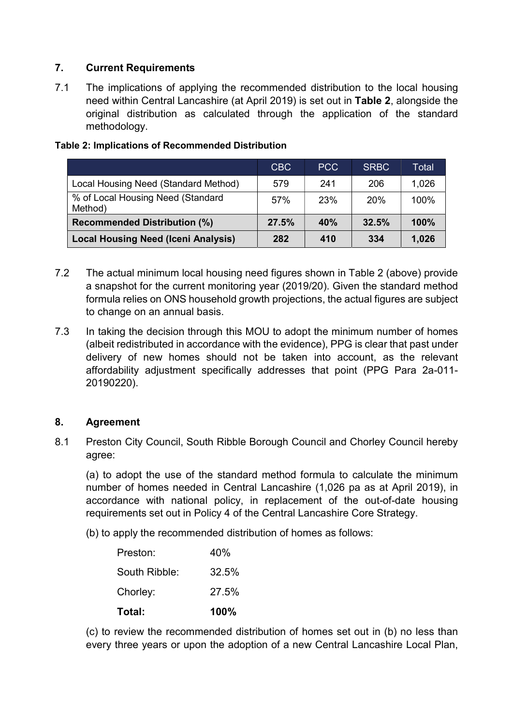# 7. Current Requirements

7.1 The implications of applying the recommended distribution to the local housing need within Central Lancashire (at April 2019) is set out in Table 2, alongside the original distribution as calculated through the application of the standard methodology.

|                                              | CBC   | PCC | <b>SRBC</b>     | Total |
|----------------------------------------------|-------|-----|-----------------|-------|
| Local Housing Need (Standard Method)         | 579   | 241 | 206             | 1,026 |
| % of Local Housing Need (Standard<br>Method) | 57%   | 23% | 20 <sub>%</sub> | 100%  |
| <b>Recommended Distribution (%)</b>          | 27.5% | 40% | 32.5%           | 100%  |
| <b>Local Housing Need (Iceni Analysis)</b>   | 282   | 410 | 334             | 1,026 |

#### Table 2: Implications of Recommended Distribution

- 7.2 The actual minimum local housing need figures shown in Table 2 (above) provide a snapshot for the current monitoring year (2019/20). Given the standard method formula relies on ONS household growth projections, the actual figures are subject to change on an annual basis.
- 7.3 In taking the decision through this MOU to adopt the minimum number of homes (albeit redistributed in accordance with the evidence), PPG is clear that past under delivery of new homes should not be taken into account, as the relevant affordability adjustment specifically addresses that point (PPG Para 2a-011- 20190220).

## 8. Agreement

8.1 Preston City Council, South Ribble Borough Council and Chorley Council hereby agree:

(a) to adopt the use of the standard method formula to calculate the minimum number of homes needed in Central Lancashire (1,026 pa as at April 2019), in accordance with national policy, in replacement of the out-of-date housing requirements set out in Policy 4 of the Central Lancashire Core Strategy.

(b) to apply the recommended distribution of homes as follows:

| Total:        | 100%  |
|---------------|-------|
| Chorley:      | 27.5% |
| South Ribble: | 32.5% |
| Preston:      | 40%   |

(c) to review the recommended distribution of homes set out in (b) no less than every three years or upon the adoption of a new Central Lancashire Local Plan,